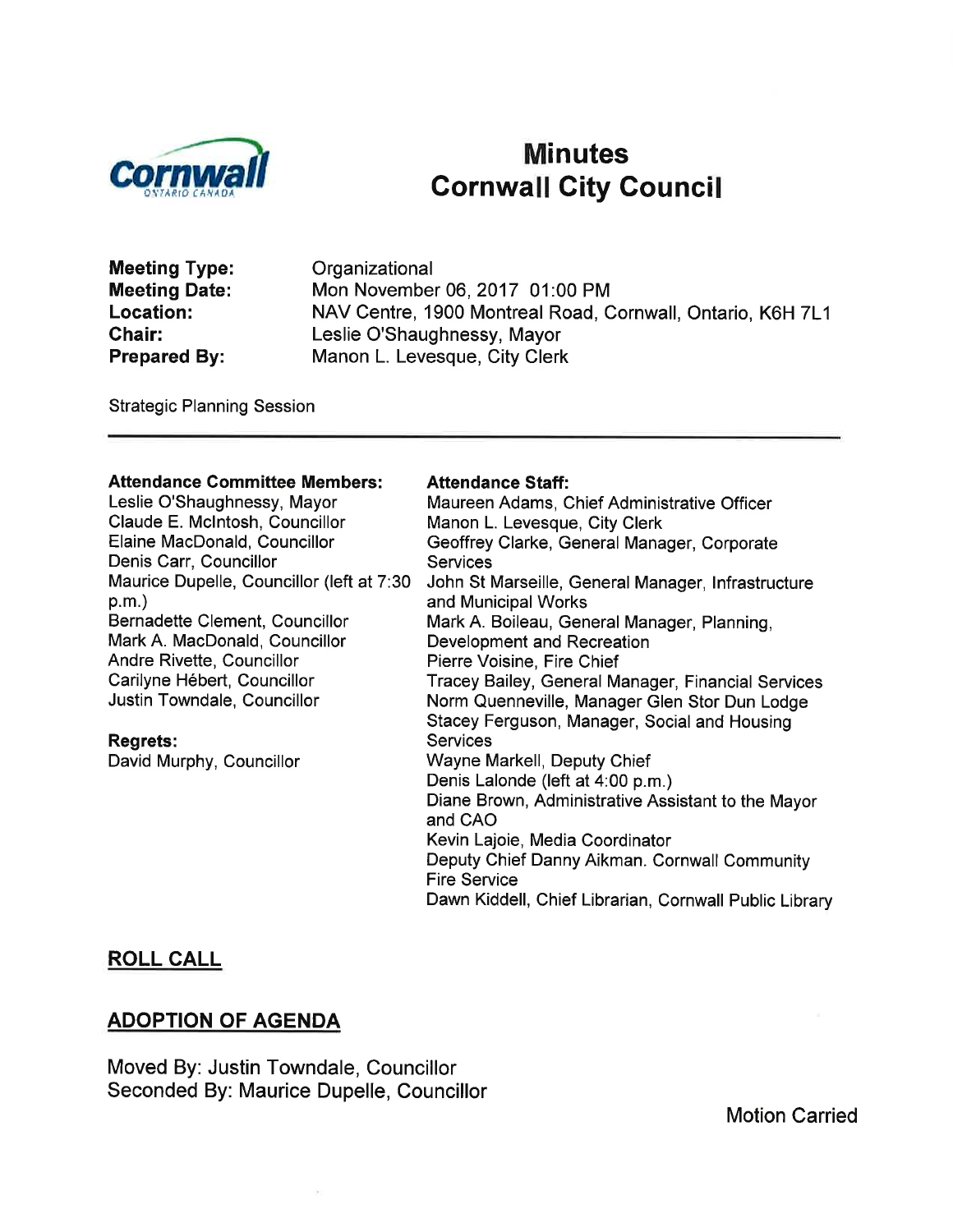

# Minutes<br>Cornwall City Council

Meeting Type: Meeting Date: Location: Chair: Prepared By:

**Organizational** Mon November 06,2017 01:00 PM NAV Centre, 1900 Montreal Road, Cornwall, Ontario, K6H 7L1 Leslie O'Shaughnessy, Mayor Manon L. Levesque, City Clerk

Strategic Planning Session

#### Attendance Committee Members:

Leslie O'Shaughnessy, Mayor Claude E. Mclntosh, Councillor Elaine MacDonald, Councillor Denis Carr, Councillor Maurice Dupelle, Councillor (left at 7:30 p.m.) Bernadette Clement, Councillor Mark A. MacDonald, Councillor Andre Rivette, Councillor Carilyne Hébert, Councillor Justin Towndale, Councillor

Regrets: David Murphy, Councillor

#### Attendance Staff:

Maureen Adams, Chief Administrative Officer Manon L. Levesque, City Clerk Geoffrey Clarke, General Manager, Corporate **Services** John St Marseille, General Manager, lnfrastructure and Municipal Works Mark A. Boileau, General Manager, Planning, Development and Recreation Pierre Voisine, Fire Chief Tracey Bailey, General Manager, Financial Services Norm Quenneville, Manager Glen Stor Dun Lodge Stacey Ferguson, Manager, Social and Housing **Services** Wayne Markell, Deputy Chief Denis Lalonde (left at 4:00 p.m.) Diane Brown, Administrative Assistant to the Mayor and CAO Kevin Lajoie, Media Coordinator Deputy Chief Danny Aikman. Cornwall Community Fire Service Dawn Kiddell, Chief Librarian, Cornwall Public Library

#### ROLL CALL

#### ADOPTION OF AGENDA

Moved By: Justin Towndale, Councillor Seconded By: Maurice Dupelle, Councillor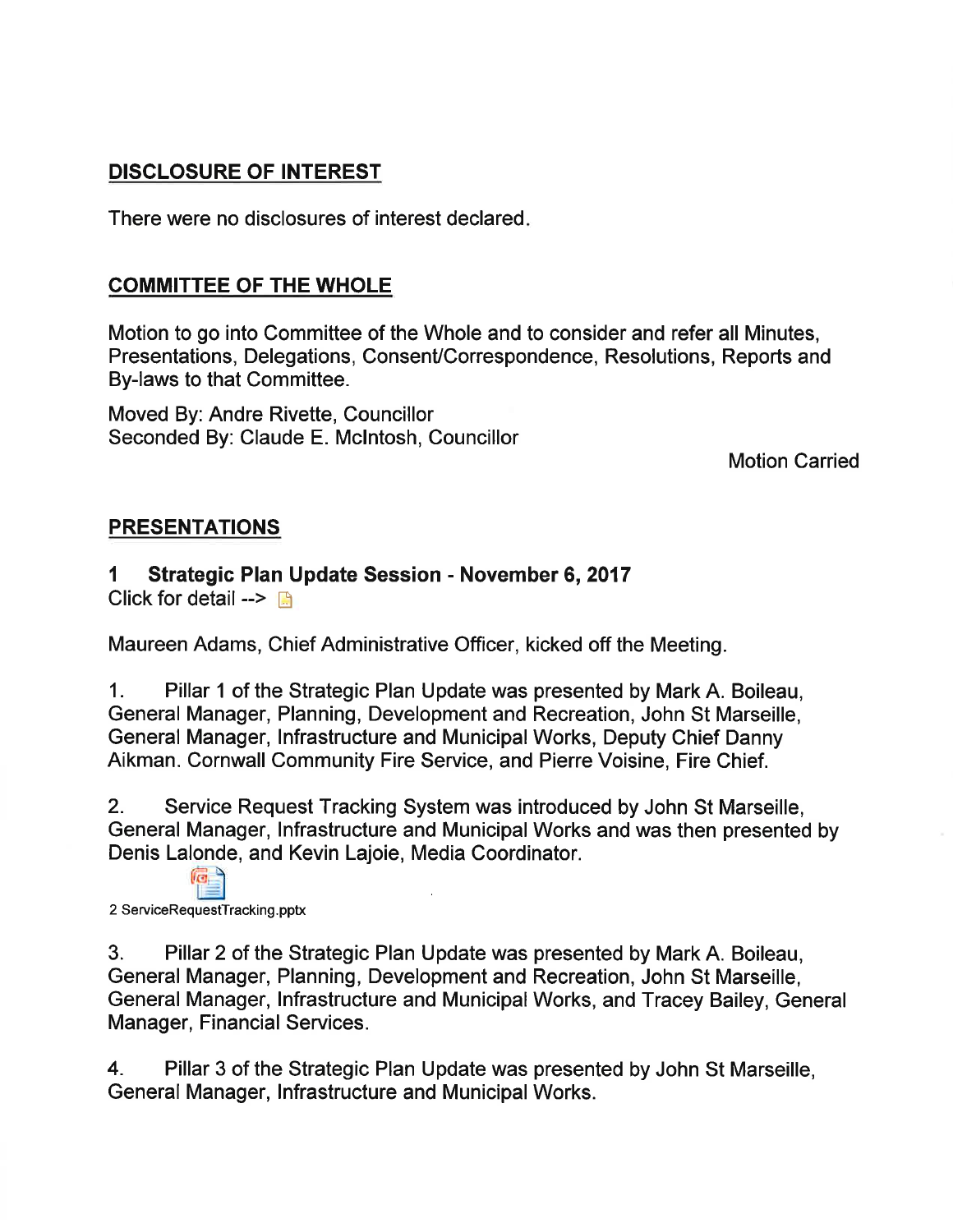#### DISCLOSURE OF INTEREST

There were no disclosures of interest declared.

### COMMITTEE OF THE WHOLE

Motion to go into Committee of the Whole and to consider and refer all Minutes, Presentations, Delegations, Consent/Correspondence, Resolutions, Reports and By-laws to that Committee.

Moved By: Andre Rivette, Councillor Seconded By: Claude E. Mclntosh, Councillor

Motion Carried

## PRESENTATIONS

## 1 Strategic Plan Update Session - November 6, <sup>2017</sup>

Click for detail  $\rightarrow \mathbb{R}$ 

Maureen Adams, Chief Administrative Officer, kicked off the Meeting.

1. Pillar 1 of the Strategic Plan Update was presented by Mark A. Boileau, General Manager, Planning, Development and Recreation, John St Marseille, General Manager, lnfrastructure and Municipal Works, Deputy Chief Danny Aikman. Cornwall Community Fire Service, and Pierre Voisine, Fire Chief.

2. Service Request Tracking System was introduced by John St Marseille, General Manager, Infrastructure and Municipal Works and was then presented by Denis Lalonde, and Kevin Lajoie, Media Coordinator.

 $\left( 6\right)$ 2 ServiceRequestTracking. pptx

3. Pillar 2 of the Strategic Plan Update was presented by Mark A. Boileau, General Manager, Planning, Development and Recreation, John St Marseille, General Manager, lnfrastructure and Municipal Works, and Tracey Bailey, General Manager, Financial Services.

4. Pillar 3 of the Strategic Plan Update was presented by John St Marseille, General Manager, lnfrastructure and Municipal Works.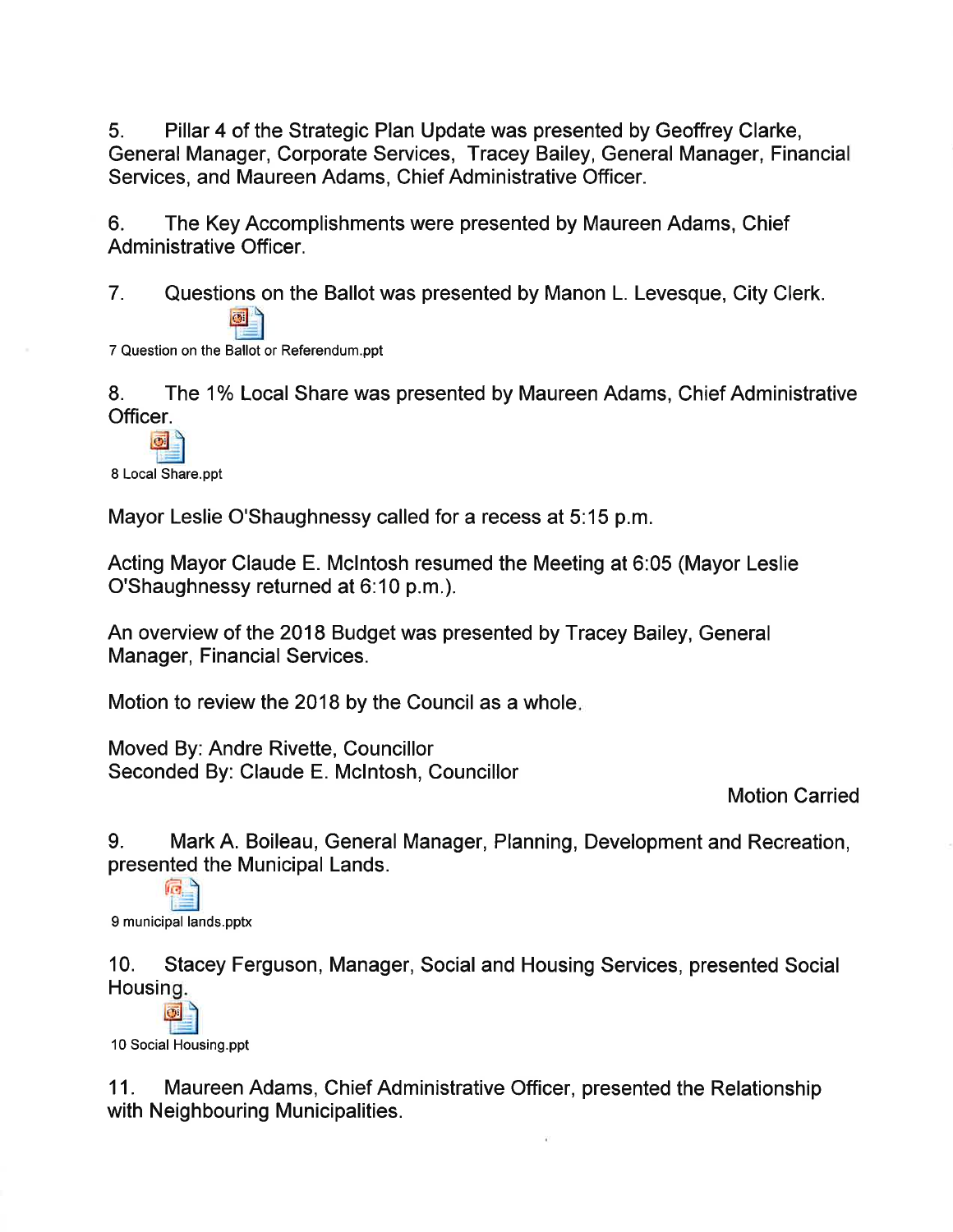5. Pillar 4 of the Strategic Plan Update was presented by Geoffrey Clarke, General Manager, Corporate Services, Tracey Bailey, General Manager, Financial Services, and Maureen Adams, Chief Administrative Officer.

6. The Key Accomplishments were presented by Maureen Adams, Chief Administrative Officer.

7. Questions on the Ballot was presented by Manon L. Levesque, City Clerk.

7 Question on the Ballot or Referendum.ppt

8. The 1% Local Share was presented by Maureen Adams, Chief Administrative Officer.

 $\odot$ 8 Local Share.ppt

Mayor Leslie O'Shaughnessy called for a recess at 5:15 p.m.

Acting Mayor Claude E. Mclntosh resumed the Meeting at 6:05 (Mayor Leslie O'Shaughnessy returned at 6:10 p.m.).

An overview of the 2018 Budget was presented by Tracey Bailey, General Manager, Financial Services.

Motion to review the 2018 by the Council as a whole

Moved By: Andre Rivette, Councillor Seconded By: Claude E. Mclntosh, Councillor

Motion Carried

9. Mark A. Boileau, General Manager, Planning, Development and Recreation, presented the Municipal Lands.

t.:l 9 municipal lands.pptx

rF.l

10. Stacey Ferguson, Manager, Social and Housing Services, presented Social Housing.

 $\bullet$ 10 Social Housing.ppt

11. Maureen Adams, Chief Administrative Officer, presented the Relationship with Neighbouring Municipalities.